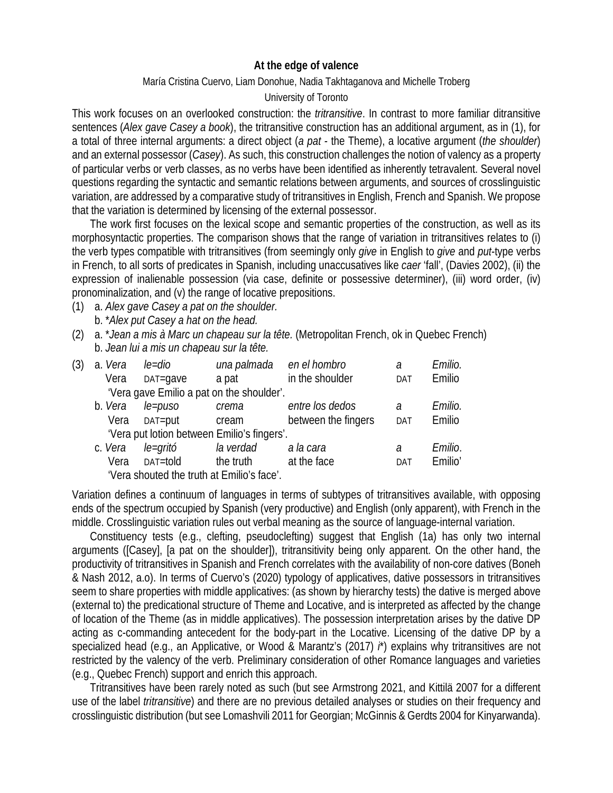## **At the edge of valence**

## María Cristina Cuervo, Liam Donohue, Nadia Takhtaganova and Michelle Troberg

## University of Toronto

This work focuses on an overlooked construction: the *tritransitive*. In contrast to more familiar ditransitive sentences (*Alex gave Casey a book*), the tritransitive construction has an additional argument, as in (1), for a total of three internal arguments: a direct object (*a pat -* the Theme), a locative argument (*the shoulder*) and an external possessor (*Casey*). As such, this construction challenges the notion of valency as a property of particular verbs or verb classes, as no verbs have been identified as inherently tetravalent. Several novel questions regarding the syntactic and semantic relations between arguments, and sources of crosslinguistic variation, are addressed by a comparative study of tritransitives in English, French and Spanish. We propose that the variation is determined by licensing of the external possessor.

The work first focuses on the lexical scope and semantic properties of the construction, as well as its morphosyntactic properties. The comparison shows that the range of variation in tritransitives relates to (i) the verb types compatible with tritransitives (from seemingly only *give* in English to *give* and *put*-type verbs in French, to all sorts of predicates in Spanish, including unaccusatives like *caer* 'fall', (Davies 2002), (ii) the expression of inalienable possession (via case, definite or possessive determiner), (iii) word order, (iv) pronominalization, and (v) the range of locative prepositions.

- (1) a. *Alex gave Casey a pat on the shoulder.* b. \**Alex put Casey a hat on the head.*
- (2) a. \**Jean a mis à Marc un chapeau sur la tête.* (Metropolitan French, ok in Quebec French) b. *Jean lui a mis un chapeau sur la tête.*

| (3)                                         | a. Vera | le=dio   |                                            | una palmada en el hombro | а          | Emilio. |
|---------------------------------------------|---------|----------|--------------------------------------------|--------------------------|------------|---------|
|                                             | Vera    | DAT=gave | a pat                                      | in the shoulder          | DAT        | Emilio  |
|                                             |         |          | 'Vera gave Emilio a pat on the shoulder'.  |                          |            |         |
|                                             | b. Vera | le=puso  | crema                                      | entre los dedos          | $\partial$ | Emilio. |
|                                             | Vera    | DAT=put  | cream                                      | between the fingers      | DAT        | Emilio  |
| 'Vera put lotion between Emilio's fingers'. |         |          |                                            |                          |            |         |
|                                             | c. Vera | le=gritó | la verdad                                  | a la cara                | a          | Emilio. |
|                                             | Vera    | DAT=told | the truth                                  | at the face              | DAT        | Emilio' |
|                                             |         |          | 'Vera shouted the truth at Emilio's face'. |                          |            |         |

Variation defines a continuum of languages in terms of subtypes of tritransitives available, with opposing ends of the spectrum occupied by Spanish (very productive) and English (only apparent), with French in the middle. Crosslinguistic variation rules out verbal meaning as the source of language-internal variation.

Constituency tests (e.g., clefting, pseudoclefting) suggest that English (1a) has only two internal arguments ([Casey], [a pat on the shoulder]), tritransitivity being only apparent. On the other hand, the productivity of tritransitives in Spanish and French correlates with the availability of non-core datives (Boneh & Nash 2012, a.o). In terms of Cuervo's (2020) typology of applicatives, dative possessors in tritransitives seem to share properties with middle applicatives: (as shown by hierarchy tests) the dative is merged above (external to) the predicational structure of Theme and Locative, and is interpreted as affected by the change of location of the Theme (as in middle applicatives). The possession interpretation arises by the dative DP acting as c-commanding antecedent for the body-part in the Locative. Licensing of the dative DP by a specialized head (e.g., an Applicative, or Wood & Marantz's (2017) *i*\*) explains why tritransitives are not restricted by the valency of the verb. Preliminary consideration of other Romance languages and varieties (e.g., Quebec French) support and enrich this approach.

Tritransitives have been rarely noted as such (but see Armstrong 2021, and Kittilä 2007 for a different use of the label *tritransitive*) and there are no previous detailed analyses or studies on their frequency and crosslinguistic distribution (but see Lomashvili 2011 for Georgian; McGinnis & Gerdts 2004 for Kinyarwanda).